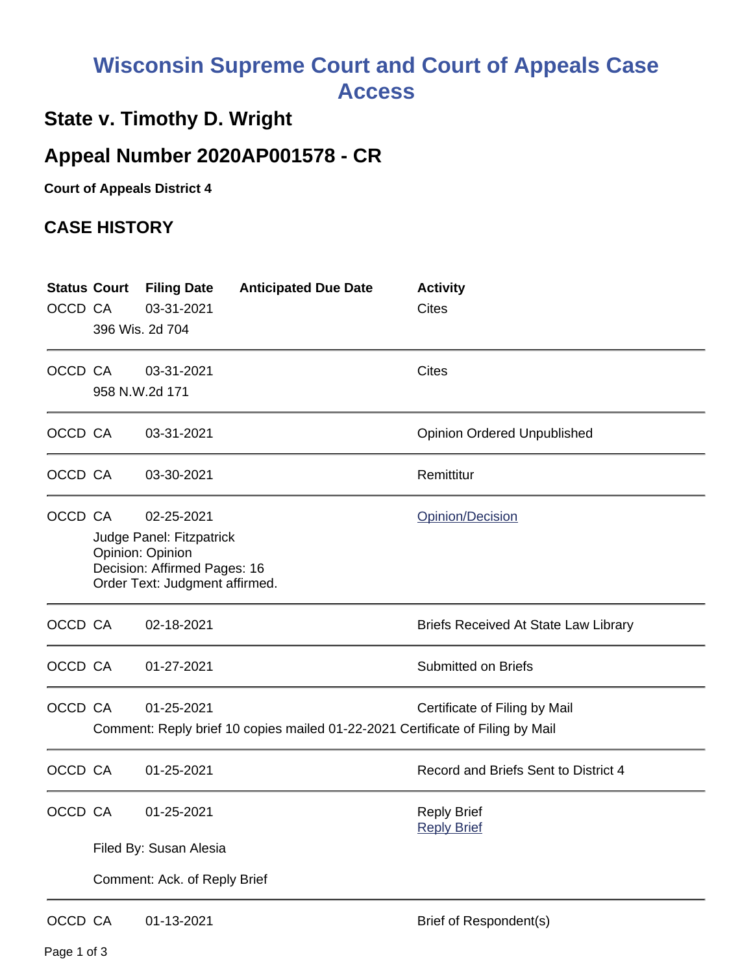## **Wisconsin Supreme Court and Court of Appeals Case Access**

## **State v. Timothy D. Wright**

## **Appeal Number 2020AP001578 - CR**

**Court of Appeals District 4**

## **CASE HISTORY**

| OCCD CA | <b>Status Court</b>                                                                                                                              | <b>Filing Date</b><br>03-31-2021<br>396 Wis. 2d 704 | <b>Anticipated Due Date</b>                                                    | <b>Activity</b><br>Cites                    |  |  |
|---------|--------------------------------------------------------------------------------------------------------------------------------------------------|-----------------------------------------------------|--------------------------------------------------------------------------------|---------------------------------------------|--|--|
| OCCD CA | 958 N.W.2d 171                                                                                                                                   | 03-31-2021                                          |                                                                                | <b>Cites</b>                                |  |  |
| OCCD CA |                                                                                                                                                  | 03-31-2021                                          |                                                                                | <b>Opinion Ordered Unpublished</b>          |  |  |
| OCCD CA |                                                                                                                                                  | 03-30-2021                                          |                                                                                | Remittitur                                  |  |  |
| OCCD CA | 02-25-2021<br>Opinion/Decision<br>Judge Panel: Fitzpatrick<br>Opinion: Opinion<br>Decision: Affirmed Pages: 16<br>Order Text: Judgment affirmed. |                                                     |                                                                                |                                             |  |  |
| OCCD CA |                                                                                                                                                  | 02-18-2021                                          |                                                                                | <b>Briefs Received At State Law Library</b> |  |  |
| OCCD CA |                                                                                                                                                  | 01-27-2021                                          |                                                                                | <b>Submitted on Briefs</b>                  |  |  |
| OCCD CA |                                                                                                                                                  | 01-25-2021                                          | Comment: Reply brief 10 copies mailed 01-22-2021 Certificate of Filing by Mail | Certificate of Filing by Mail               |  |  |
| OCCD CA |                                                                                                                                                  | 01-25-2021                                          |                                                                                | Record and Briefs Sent to District 4        |  |  |
| OCCD CA |                                                                                                                                                  | 01-25-2021                                          |                                                                                | <b>Reply Brief</b><br><b>Reply Brief</b>    |  |  |
|         | Filed By: Susan Alesia                                                                                                                           |                                                     |                                                                                |                                             |  |  |
|         | Comment: Ack. of Reply Brief                                                                                                                     |                                                     |                                                                                |                                             |  |  |
| OCCD CA |                                                                                                                                                  | 01-13-2021                                          |                                                                                | <b>Brief of Respondent(s)</b>               |  |  |

Page 1 of 3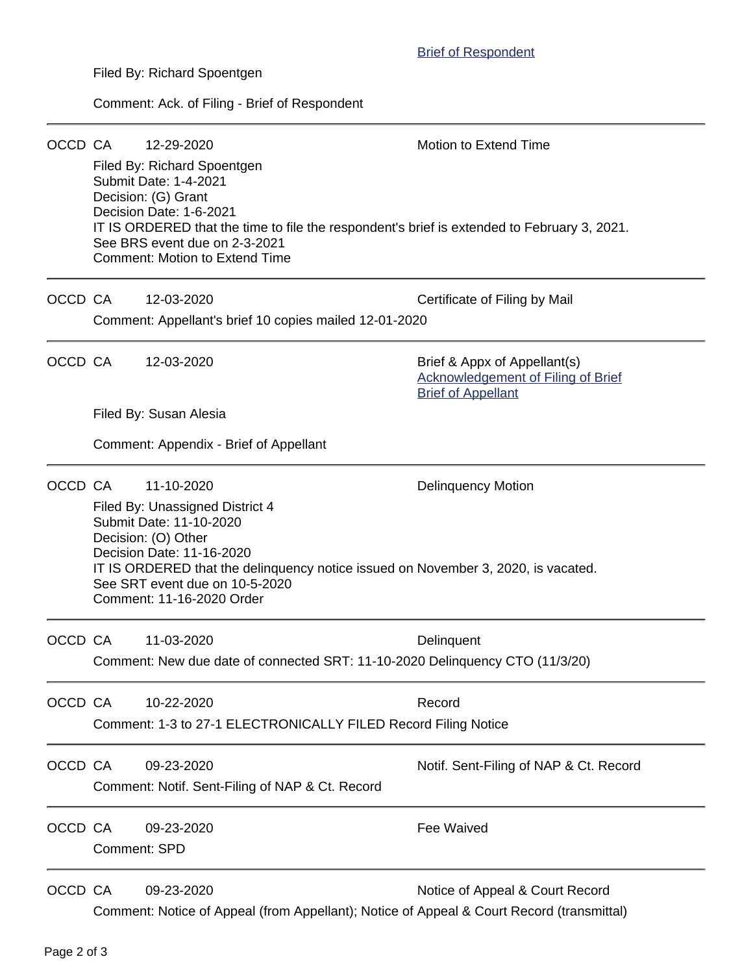Filed By: Richard Spoentgen

Comment: Ack. of Filing - Brief of Respondent

| OCCD CA |                                        | 12-29-2020<br>Filed By: Richard Spoentgen<br>Submit Date: 1-4-2021<br>Decision: (G) Grant<br>Decision Date: 1-6-2021<br>IT IS ORDERED that the time to file the respondent's brief is extended to February 3, 2021.<br>See BRS event due on 2-3-2021<br><b>Comment: Motion to Extend Time</b>                 | Motion to Extend Time                                                                           |  |  |  |
|---------|----------------------------------------|---------------------------------------------------------------------------------------------------------------------------------------------------------------------------------------------------------------------------------------------------------------------------------------------------------------|-------------------------------------------------------------------------------------------------|--|--|--|
| OCCD CA |                                        | 12-03-2020<br>Comment: Appellant's brief 10 copies mailed 12-01-2020                                                                                                                                                                                                                                          | Certificate of Filing by Mail                                                                   |  |  |  |
| OCCD CA |                                        | 12-03-2020                                                                                                                                                                                                                                                                                                    | Brief & Appx of Appellant(s)<br>Acknowledgement of Filing of Brief<br><b>Brief of Appellant</b> |  |  |  |
|         | Filed By: Susan Alesia                 |                                                                                                                                                                                                                                                                                                               |                                                                                                 |  |  |  |
|         | Comment: Appendix - Brief of Appellant |                                                                                                                                                                                                                                                                                                               |                                                                                                 |  |  |  |
| OCCD CA |                                        | 11-10-2020<br><b>Delinquency Motion</b><br>Filed By: Unassigned District 4<br>Submit Date: 11-10-2020<br>Decision: (O) Other<br>Decision Date: 11-16-2020<br>IT IS ORDERED that the delinquency notice issued on November 3, 2020, is vacated.<br>See SRT event due on 10-5-2020<br>Comment: 11-16-2020 Order |                                                                                                 |  |  |  |
| OCCD CA |                                        | 11-03-2020<br>Comment: New due date of connected SRT: 11-10-2020 Delinquency CTO (11/3/20)                                                                                                                                                                                                                    | Delinquent                                                                                      |  |  |  |
| OCCD CA |                                        | 10-22-2020<br>Comment: 1-3 to 27-1 ELECTRONICALLY FILED Record Filing Notice                                                                                                                                                                                                                                  | Record                                                                                          |  |  |  |
| OCCD CA |                                        | 09-23-2020<br>Comment: Notif. Sent-Filing of NAP & Ct. Record                                                                                                                                                                                                                                                 | Notif. Sent-Filing of NAP & Ct. Record                                                          |  |  |  |
| OCCD CA | <b>Comment: SPD</b>                    | 09-23-2020                                                                                                                                                                                                                                                                                                    | Fee Waived                                                                                      |  |  |  |
| OCCD CA |                                        | 09-23-2020<br>Comment: Notice of Appeal (from Appellant); Notice of Appeal & Court Record (transmittal)                                                                                                                                                                                                       | Notice of Appeal & Court Record                                                                 |  |  |  |